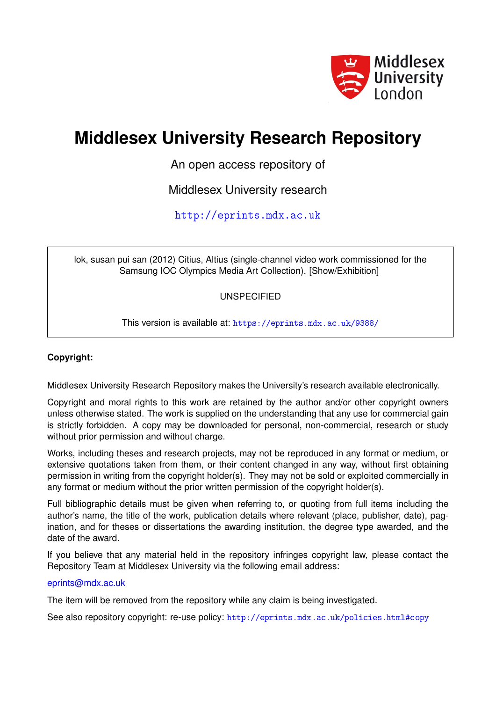

# **Middlesex University Research Repository**

An open access repository of

Middlesex University research

<http://eprints.mdx.ac.uk>

lok, susan pui san (2012) Citius, Altius (single-channel video work commissioned for the Samsung IOC Olympics Media Art Collection). [Show/Exhibition]

UNSPECIFIED

This version is available at: <https://eprints.mdx.ac.uk/9388/>

#### **Copyright:**

Middlesex University Research Repository makes the University's research available electronically.

Copyright and moral rights to this work are retained by the author and/or other copyright owners unless otherwise stated. The work is supplied on the understanding that any use for commercial gain is strictly forbidden. A copy may be downloaded for personal, non-commercial, research or study without prior permission and without charge.

Works, including theses and research projects, may not be reproduced in any format or medium, or extensive quotations taken from them, or their content changed in any way, without first obtaining permission in writing from the copyright holder(s). They may not be sold or exploited commercially in any format or medium without the prior written permission of the copyright holder(s).

Full bibliographic details must be given when referring to, or quoting from full items including the author's name, the title of the work, publication details where relevant (place, publisher, date), pagination, and for theses or dissertations the awarding institution, the degree type awarded, and the date of the award.

If you believe that any material held in the repository infringes copyright law, please contact the Repository Team at Middlesex University via the following email address:

#### [eprints@mdx.ac.uk](mailto:eprints@mdx.ac.uk)

The item will be removed from the repository while any claim is being investigated.

See also repository copyright: re-use policy: <http://eprints.mdx.ac.uk/policies.html#copy>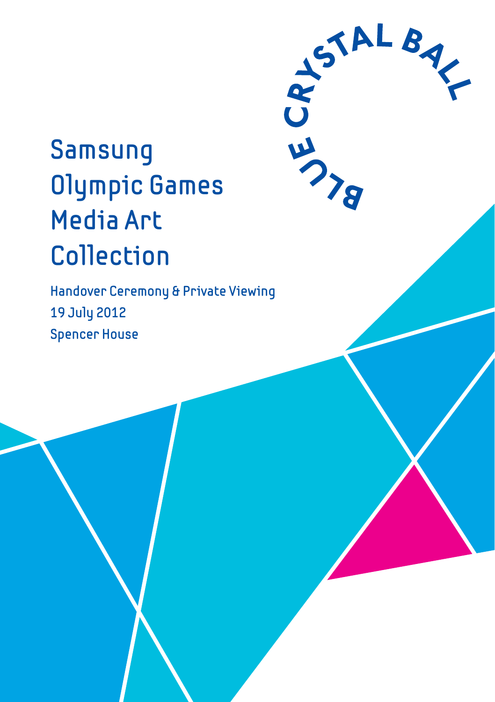# Samsung Olympic Games **Media Art** Collection

Handover Ceremony & Private Viewing 19 July 2012 **Spencer House** 

SIALBAY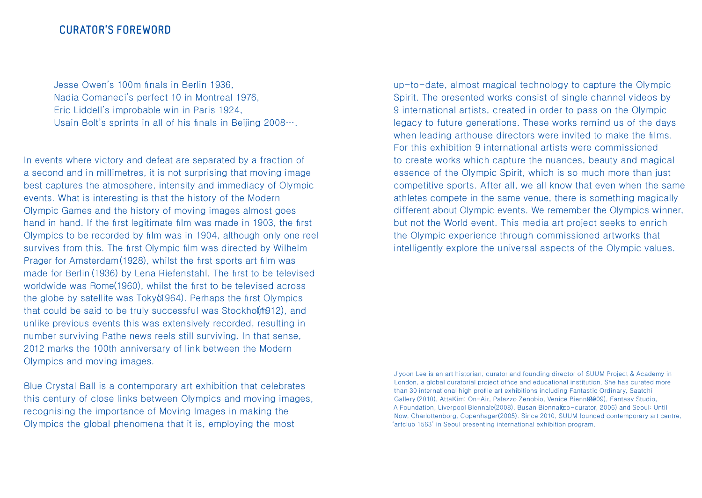Jesse Owen's 100m finals in Berlin 1936. Nadia Comaneci's perfect 10 in Montreal 1976. Eric Liddell's improbable win in Paris 1924. Usain Bolt's sprints in all of his finals in Beiling  $2008...$ .

In events where victory and defeat are separated by a fraction of a second and in millimetres, it is not surprising that moving image best captures the atmosphere, intensity and immediacy of Olympic events. What is interesting is that the history of the Modern Olympic Games and the history of moving images almost goes hand in hand. If the first legitimate film was made in 1903, the first Olympics to be recorded by film was in 1904, although only one reel survives from this. The first Olympic film was directed by Wilhelm Prager for Amsterdam (1928), whilst the first sports art film was made for Berlin (1936) by Lena Riefenstahl. The first to be televised worldwide was Rome(1960), whilst the first to be televised across the globe by satellite was  $Toky(1964)$ . Perhaps the first Olympics that could be said to be truly successful was Stockholt 1912), and unlike previous events this was extensively recorded, resulting in number surviving Pathe news reels still surviving. In that sense, 2012 marks the 100th anniversary of link between the Modern Olympics and moving images.

Blue Crystal Ball is a contemporary art exhibition that celebrates this century of close links between Olympics and moving images. recognising the importance of Moving Images in making the Olympics the global phenomena that it is, employing the most

up-to-date, almost magical technology to capture the Olympic Spirit. The presented works consist of single channel videos by 9 international artists, created in order to pass on the Olympic legacy to future generations. These works remind us of the days when leading arthouse directors were invited to make the films. For this exhibition 9 international artists were commissioned to create works which capture the nuances, beauty and magical essence of the Olympic Spirit, which is so much more than just competitive sports. After all, we all know that even when the same athletes compete in the same venue, there is something magically different about Olympic events. We remember the Olympics winner, but not the World event. This media art project seeks to enrich the Olympic experience through commissioned artworks that intelligently explore the universal aspects of the Olympic values.

Jiyoon Lee is an art historian, curator and founding director of SUUM Project & Academy in London, a global curatorial project office and educational institution. She has curated more than 30 international high profile art exhibitions including Fantastic Ordinary, Saatchi Gallery (2010), AttaKim: On-Air, Palazzo Zenobio, Venice Bienn(2009), Fantasy Studio, A Foundation, Liverpool Biennale(2008), Busan Biennal (co-curator, 2006) and Seoul: Until Now, Charlottenborg, Copenhagen (2005). Since 2010, SUUM founded contemporary art centre. 'artclub 1563' in Seoul presenting international exhibition program.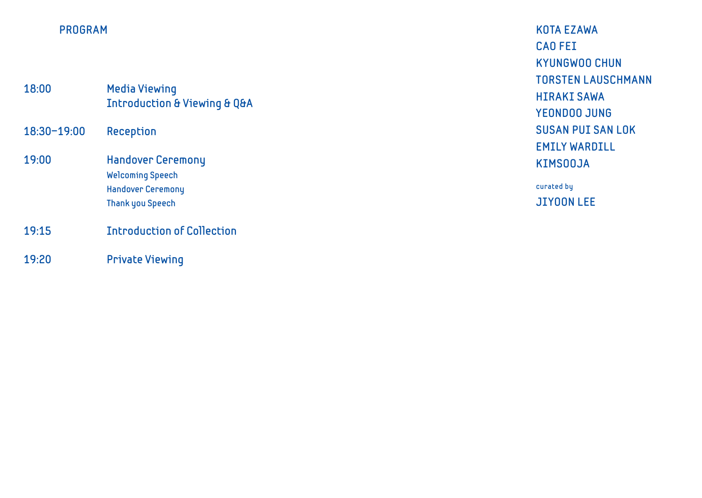#### **PROGRAM**

| 18:00       | <b>Media Viewing</b><br><b>Introduction &amp; Viewing &amp; Q&amp;A</b>                                    |
|-------------|------------------------------------------------------------------------------------------------------------|
| 18:30-19:00 | Reception                                                                                                  |
| 19:00       | <b>Handover Ceremony</b><br><b>Welcoming Speech</b><br><b>Handover Ceremony</b><br><b>Thank you Speech</b> |
| 19:15       | <b>Introduction of Collection</b>                                                                          |

19:20 **Private Viewing** 

**KOTA EZAWA CAO FEI KYUNGWOO CHUN TORSTEN LAUSCHMANN HIRAKI SAWA YEONDOO JUNG SUSAN PUI SAN LOK EMILY WARDILL KIMS00JA** 

curated by **JIYOON LEE**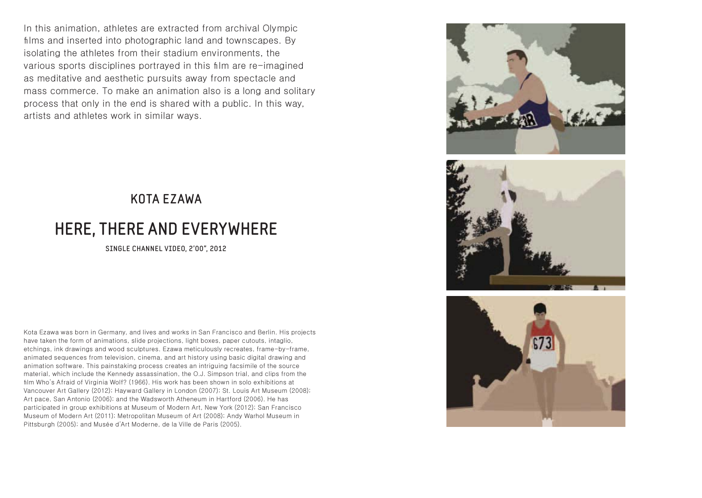In this animation, athletes are extracted from archival Olympic films and inserted into photographic land and townscapes. By isolating the athletes from their stadium environments, the various sports disciplines portrayed in this film are re-imagined as meditative and aesthetic pursuits away from spectacle and mass commerce. To make an animation also is a long and solitary process that only in the end is shared with a public. In this way, artists and athletes work in similar ways.

#### $\overline{\text{KOTA}}$  EZAWA

# **HERE, THERE AND EVERYWHERE**

SINGLE CHANNEL VIDEO, 2'00", 2012

Kota Ezawa was born in Germany, and lives and works in San Francisco and Berlin. His projects have taken the form of animations, slide projections, light boxes, paper cutouts, intaglio, etchings, ink drawings and wood sculptures. Ezawa meticulously recreates, frame-by-frame, animated sequences from television, cinema, and art history using basic digital drawing and animation software. This painstaking process creates an intriguing facsimile of the source material, which include the Kennedy assassination, the O.J. Simpson trial, and clips from the film Who's Afraid of Virginia Wolf? (1966). His work has been shown in solo exhibitions at Vancouver Art Gallery (2012); Hayward Gallery in London (2007); St. Louis Art Museum (2008); Art pace, San Antonio (2006); and the Wadsworth Atheneum in Hartford (2006). He has participated in group exhibitions at Museum of Modern Art, New York (2012); San Francisco Museum of Modern Art (2011); Metropolitan Museum of Art (2008); Andy Warhol Museum in Pittsburgh (2005); and Musée d'Art Moderne, de la Ville de Paris (2005).





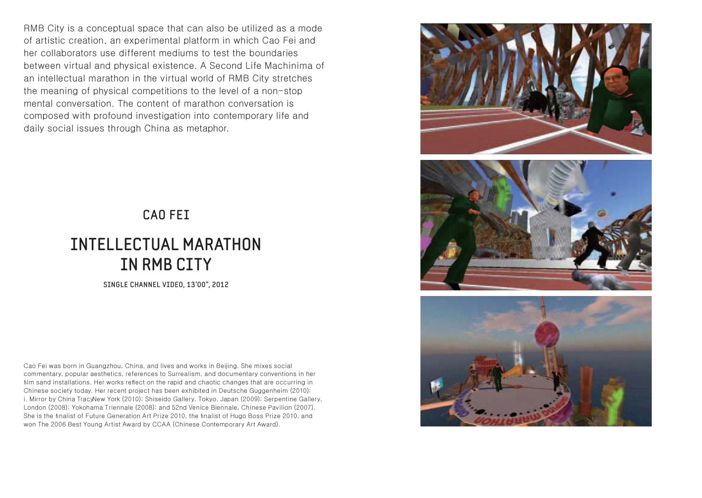RMB City is a conceptual space that can also be utilized as a mode of artistic creation, an experimental platform in which Cao Fei and her collaborators use different mediums to test the boundaries between virtual and physical existence. A Second Life Machinima of an intellectual marathon in the virtual world of RMB City stretches the meaning of physical competitions to the level of a non-stop mental conversation. The content of marathon conversation is composed with profound investigation into contemporary life and daily social issues through China as metaphor.







#### **CAO FEI**

# **INTELLECTUAL MARATHON** IN RMB CITY

SINGLE CHANNEL VIDEO, 13'00", 2012

Cao Fei was born in Guangzhou, China, and lives and works in Beijing. She mixes social commentary, popular aesthetics, references to Surrealism, and documentary conventions in her film sand installations. Her works reflect on the rapid and chaotic changes that are occurring in Chinese society today. Her recent project has been exhibited in Deutsche Guggenheim (2010); i. Mirror by China TracyNew York (2010); Shiseido Gallery, Tokyo, Japan (2009); Serpentine Gallery, London (2008); Yokohama Triennale (2008); and 52nd Venice Biennale, Chinese Pavilion (2007). She is the finalist of Future Generation Art Prize 2010, the finalist of Hugo Boss Prize 2010, and won The 2006 Best Young Artist Award by CCAA (Chinese Contemporary Art Award).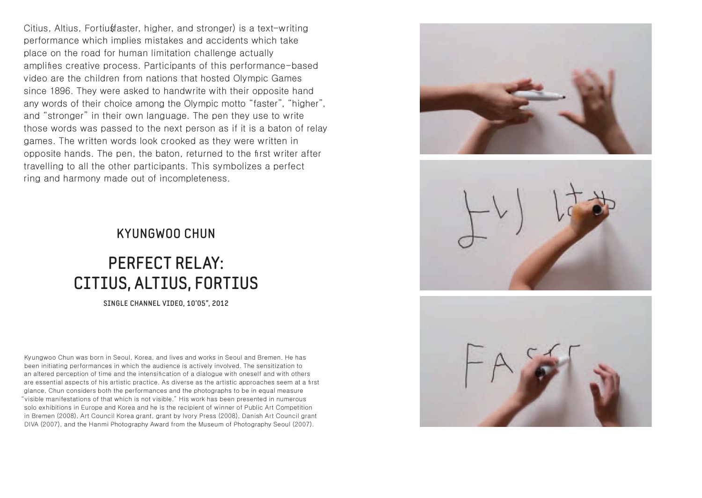Citius, Altius, Fortiustaster, higher, and stronger) is a text-writing performance which implies mistakes and accidents which take place on the road for human limitation challenge actually amplifies creative process. Participants of this performance-based video are the children from nations that hosted Olympic Games since 1896. They were asked to handwrite with their opposite hand any words of their choice among the Olympic motto "faster", "higher", and "stronger" in their own language. The pen they use to write those words was passed to the next person as if it is a baton of relay games. The written words look crooked as they were written in opposite hands. The pen, the baton, returned to the first writer after travelling to all the other participants. This symbolizes a perfect ring and harmony made out of incompleteness.

#### **KYUNGWOO CHUN**

# **PERFECT RELAY:** CITIUS, ALTIUS, FORTIUS

SINGLE CHANNEL VIDE0, 10'05", 2012

Kyungwoo Chun was born in Seoul, Korea, and lives and works in Seoul and Bremen. He has been initiating performances in which the audience is actively involved. The sensitization to an altered perception of time and the intensification of a dialogue with oneself and with others are essential aspects of his artistic practice. As diverse as the artistic approaches seem at a first glance. Chun considers both the performances and the photographs to be in equal measure "visible manifestations of that which is not visible." His work has been presented in numerous solo exhibitions in Europe and Korea and he is the recipient of winner of Public Art Competition in Bremen (2008), Art Council Korea grant, grant by Ivory Press (2008), Danish Art Council grant DIVA (2007), and the Hanmi Photography Award from the Museum of Photography Seoul (2007).





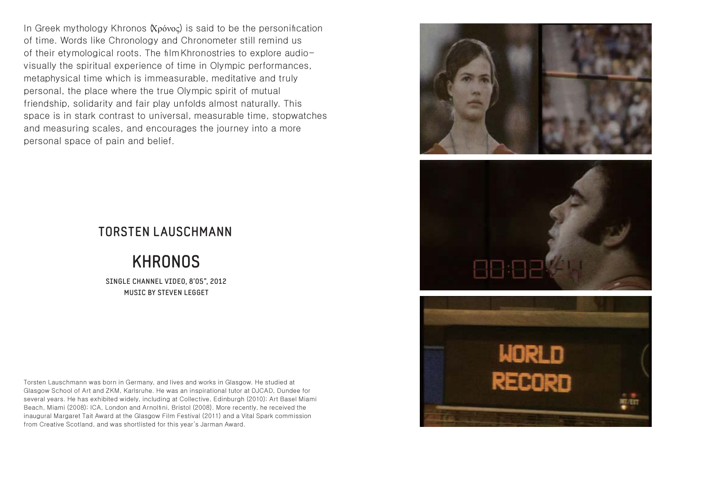In Greek mythology Khronos (Χρόνος) is said to be the personification of time. Words like Chronology and Chronometer still remind us of their etymological roots. The film Khronostries to explore audiovisually the spiritual experience of time in Olympic performances. metaphysical time which is immeasurable, meditative and truly personal, the place where the true Olympic spirit of mutual friendship, solidarity and fair play unfolds almost naturally. This space is in stark contrast to universal, measurable time, stopwatches and measuring scales, and encourages the journey into a more personal space of pain and belief.

### **TORSTEN I AUSCHMANN**

## **KHRONOS**

SINGLE CHANNEL VIDEO, 8'05", 2012 MUSIC BY STEVEN LEGGET

Torsten Lauschmann was born in Germany, and lives and works in Glasgow. He studied at Glasgow School of Art and ZKM, Karlsruhe. He was an inspirational tutor at DJCAD, Dundee for several years. He has exhibited widely, including at Collective, Edinburgh (2010): Art Basel Miami Beach, Miami (2008); ICA, London and Arnolfini, Bristol (2008). More recently, he received the inaugural Margaret Tait Award at the Glasgow Film Festival (2011) and a Vital Spark commission from Creative Scotland, and was shortlisted for this year's Jarman Award.

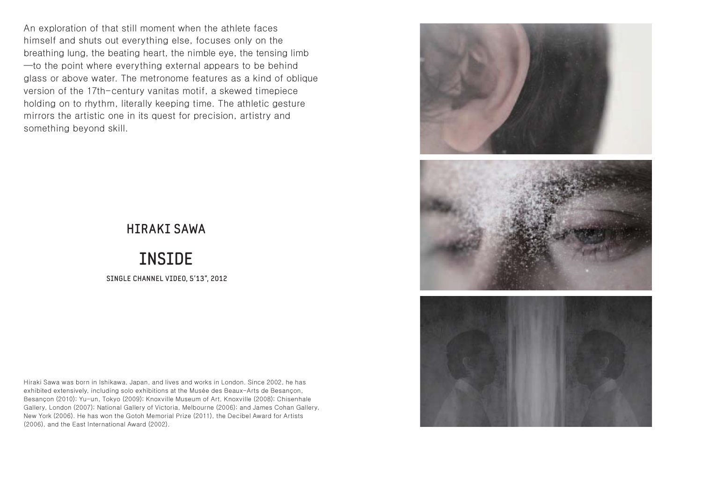An exploration of that still moment when the athlete faces himself and shuts out everything else, focuses only on the breathing lung, the beating heart, the nimble eye, the tensing limb -to the point where everything external appears to be behind glass or above water. The metronome features as a kind of oblique version of the 17th-century vanitas motif, a skewed timepiece holding on to rhythm, literally keeping time. The athletic gesture mirrors the artistic one in its quest for precision, artistry and something beyond skill.



#### **HIRAKI SAWA**

## **INSIDE**

SINGLE CHANNEL VIDEO, 5'13", 2012

Hiraki Sawa was born in Ishikawa, Japan, and lives and works in London. Since 2002, he has exhibited extensively, including solo exhibitions at the Musée des Beaux-Arts de Besancon, Besançon (2010); Yu-un, Tokyo (2009); Knoxville Museum of Art, Knoxville (2008); Chisenhale Gallery, London (2007); National Gallery of Victoria, Melbourne (2006); and James Cohan Gallery, New York (2006). He has won the Gotoh Memorial Prize (2011), the Decibel Award for Artists (2006), and the East International Award (2002).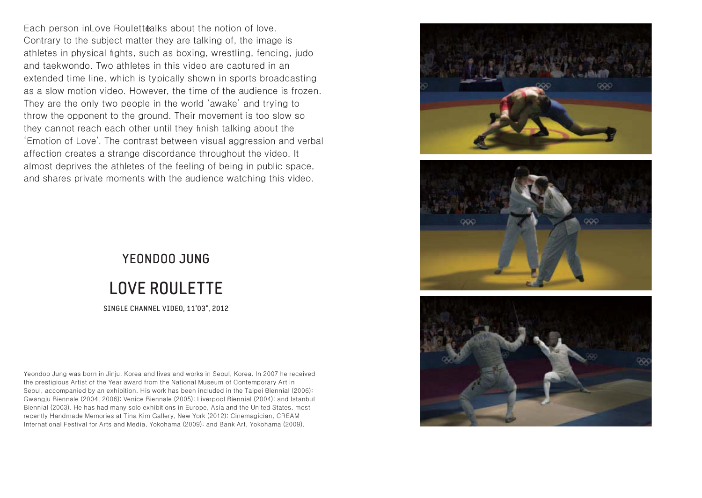Each person in Love Roulettealks about the notion of love. Contrary to the subject matter they are talking of, the image is athletes in physical fights, such as boxing, wrestling, fencing, judo and taekwondo. Two athletes in this video are captured in an extended time line, which is typically shown in sports broadcasting as a slow motion video. However, the time of the audience is frozen. They are the only two people in the world 'awake' and trying to throw the opponent to the ground. Their movement is too slow so they cannot reach each other until they finish talking about the 'Emotion of Love'. The contrast between visual aggression and verbal affection creates a strange discordance throughout the video. It almost deprives the athletes of the feeling of being in public space. and shares private moments with the audience watching this video.

# YFONDOO, JUNG **LOVE ROULETTE** SINGLE CHANNEL VIDEO, 11'03", 2012

Yeondoo Jung was born in Jinju, Korea and lives and works in Seoul, Korea. In 2007 he received the prestigious Artist of the Year award from the National Museum of Contemporary Art in Seoul, accompanied by an exhibition. His work has been included in the Taipei Biennial (2006); Gwangju Biennale (2004, 2006); Venice Biennale (2005); Liverpool Biennial (2004); and Istanbul Biennial (2003). He has had many solo exhibitions in Europe, Asia and the United States, most recently Handmade Memories at Tina Kim Gallery, New York (2012); Cinemagician, CREAM International Festival for Arts and Media, Yokohama (2009); and Bank Art, Yokohama (2009).





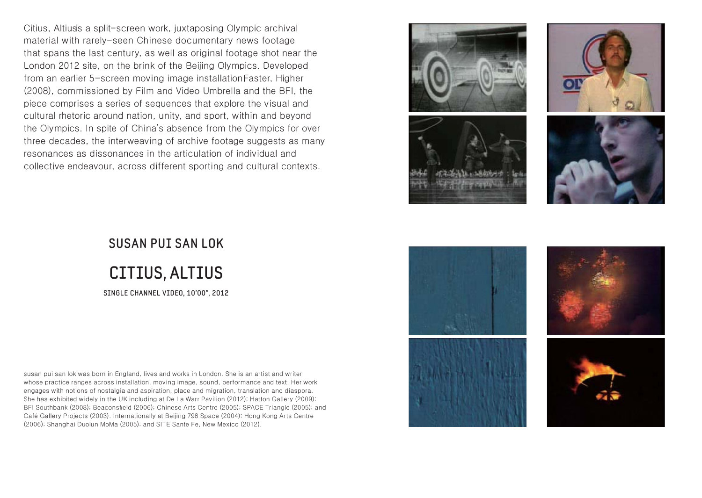Citius, Altiuss a split-screen work, juxtaposing Olympic archival material with rarely-seen Chinese documentary news footage that spans the last century, as well as original footage shot near the London 2012 site, on the brink of the Beijing Olympics, Developed from an earlier 5-screen moving image installation Faster, Higher (2008), commissioned by Film and Video Umbrella and the BFI, the piece comprises a series of sequences that explore the visual and cultural rhetoric around nation, unity, and sport, within and beyond the Olympics. In spite of China's absence from the Olympics for over three decades, the interweaving of archive footage suggests as many resonances as dissonances in the articulation of individual and collective endeavour, across different sporting and cultural contexts.





# **SUSAN PUT SAN LOK CITIUS, ALTIUS** SINGLE CHANNEL VIDEO, 10'00", 2012

susan pui san lok was born in England, lives and works in London. She is an artist and writer whose practice ranges across installation, moving image, sound, performance and text. Her work engages with notions of nostalgia and aspiration, place and migration, translation and diaspora. She has exhibited widely in the UK including at De La Warr Pavilion (2012); Hatton Gallery (2009); BFI Southbank (2008); Beaconsfield (2006); Chinese Arts Centre (2005); SPACE Triangle (2005); and Café Gallery Projects (2003). Internationally at Beijing 798 Space (2004); Hong Kong Arts Centre (2006); Shanghai Duolun MoMa (2005); and SITE Sante Fe. New Mexico (2012).

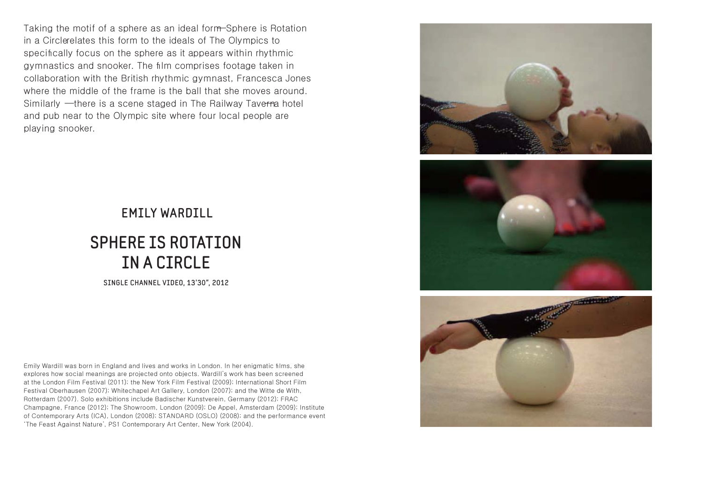Taking the motif of a sphere as an ideal form-Sphere is Rotation in a Circlerelates this form to the ideals of The Olympics to specifically focus on the sphere as it appears within rhythmic gymnastics and snooker. The film comprises footage taken in collaboration with the British rhythmic gymnast, Francesca Jones where the middle of the frame is the ball that she moves around. Similarly - there is a scene staged in The Railway Taverna hotel and pub near to the Olympic site where four local people are playing snooker.







# **EMILY WARDILL SPHERE IS ROTATION** IN A CIRCLE

SINGLE CHANNEL VIDEO, 13'30", 2012

Emily Wardill was born in England and lives and works in London. In her enigmatic films, she explores how social meanings are projected onto objects. Wardill's work has been screened at the London Film Festival (2011); the New York Film Festival (2009); International Short Film Festival Oberhausen (2007); Whitechapel Art Gallery, London (2007); and the Witte de With, Rotterdam (2007). Solo exhibitions include Badischer Kunstverein, Germany (2012); FRAC Champagne, France (2012); The Showroom, London (2009); De Appel, Amsterdam (2009); Institute of Contemporary Arts (ICA), London (2008); STANDARD (OSLO) (2008); and the performance event 'The Feast Against Nature', PS1 Contemporary Art Center, New York (2004).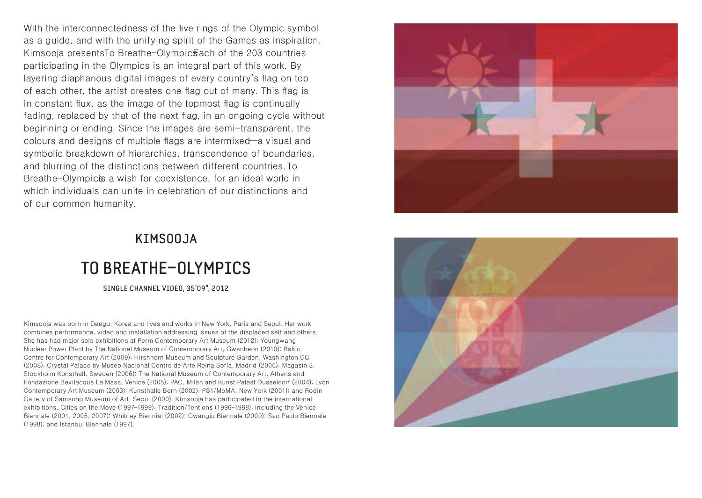With the interconnectedness of the five rings of the Olympic symbol as a quide, and with the unifying spirit of the Games as inspiration. Kimsooja presentsTo Breathe-Olympic&ach of the 203 countries participating in the Olympics is an integral part of this work. By layering diaphanous digital images of every country's flag on top of each other, the artist creates one flag out of many. This flag is in constant flux, as the image of the topmost flag is continually fading, replaced by that of the next flag, in an ongoing cycle without beginning or ending. Since the images are semi-transparent, the colours and designs of multiple flags are intermixed—a visual and symbolic breakdown of hierarchies, transcendence of boundaries. and blurring of the distinctions between different countries. To Breathe-Olympic is a wish for coexistence, for an ideal world in which individuals can unite in celebration of our distinctions and of our common humanity.

#### KIMS00JA

# TO BREATHE-OLYMPICS

SINGLE CHANNEL VIDEO, 35'09", 2012

Kimsooja was born in Daegu, Korea and lives and works in New York, Paris and Seoul. Her work combines performance, video and installation addressing issues of the displaced self and others. She has had major solo exhibitions at Perm Contemporary Art Museum (2012); Youngwang Nuclear Power Plant by The National Museum of Contemporary Art, Gwacheon (2010); Baltic Centre for Contemporary Art (2009); Hirshhorn Museum and Sculpture Garden, Washington DC (2008); Crystal Palace by Museo Nacional Centro de Arte Reina Sofía, Madrid (2006); Magasin 3, Stockholm Konsthall, Sweden (2006); The National Museum of Contemporary Art, Athens and Fondazione Bevilacqua La Masa, Venice (2005); PAC, Milan and Kunst Palast Dusseldorf (2004); Lyon Contemporary Art Museum (2003); Kunsthalle Bern (2002); PS1/MoMA, New York (2001); and Rodin Gallery of Samsung Museum of Art, Seoul (2000). Kimsooja has participated in the international exhibitions, Cities on the Move (1997–1999); Tradition/Tentions (1996–1998); including the Venice Biennale (2001, 2005, 2007); Whitney Biennial (2002); Gwangiu Biennale (2000); Sao Paulo Biennale  $(1998)$ ; and Istanbul Biennale  $(1997)$ .



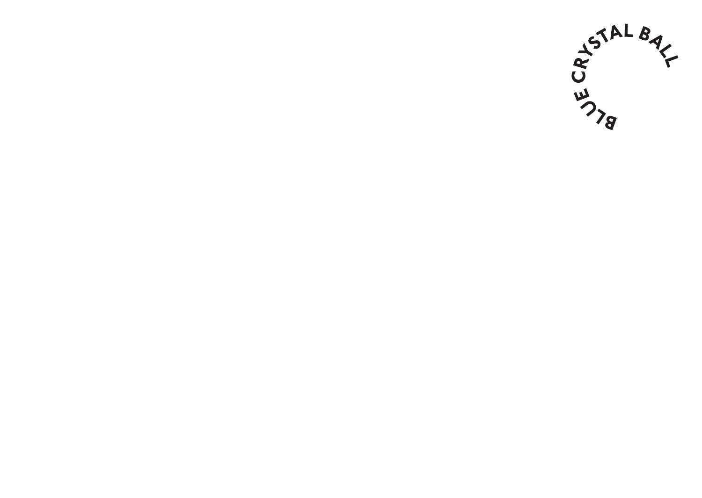**STALBAL**